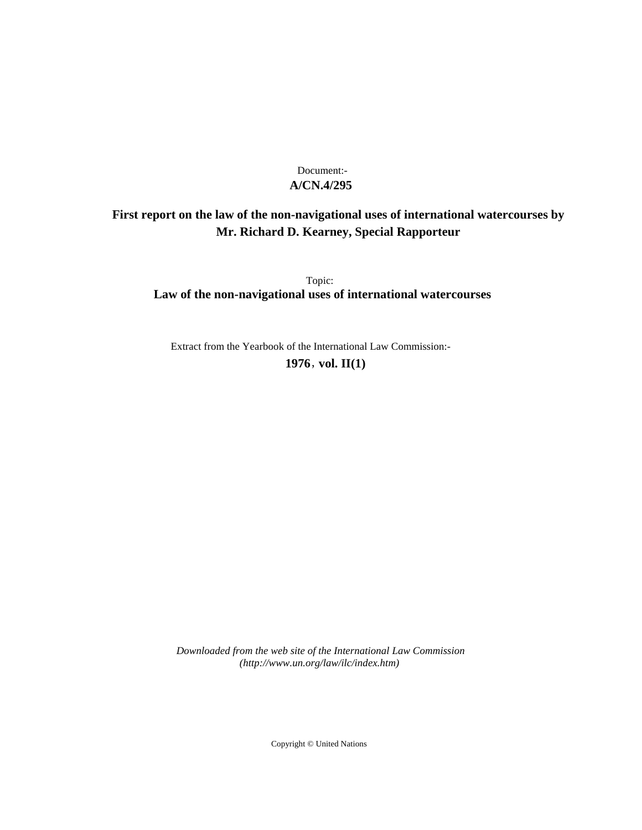## **A/CN.4/295** Document:-

# **First report on the law of the non-navigational uses of international watercourses by Mr. Richard D. Kearney, Special Rapporteur**

Topic: **Law of the non-navigational uses of international watercourses**

Extract from the Yearbook of the International Law Commission:-

**1976** , **vol. II(1)**

*Downloaded from the web site of the International Law Commission (http://www.un.org/law/ilc/index.htm)*

Copyright © United Nations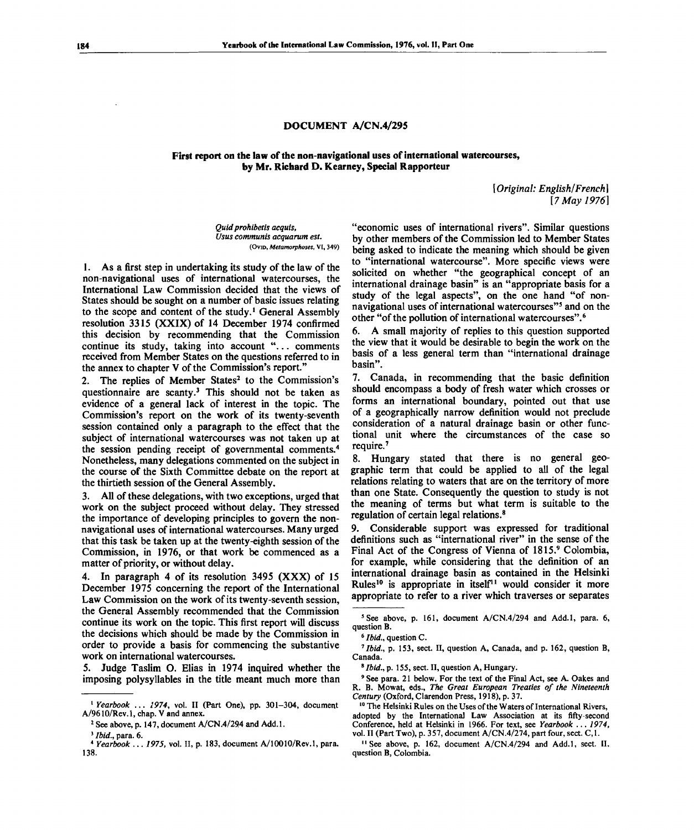## **DOCUMENT A/CN.4/295**

## **First report on the law of the non-navigational uses of international watercourses, by Mr. Richard D. Kearney, Special Rapporteur**

*[Original: English/French] [7 May 1976]*

*Quid prohibetis acquis, Usus communis acquarum est.* **(OVID,** *Metamorphoses,* **VI, 349)**

1. As a first step in undertaking its study of the law of the non-navigational uses of international watercourses, the International Law Commission decided that the views of States should be sought on a number of basic issues relating to the scope and content of the study.<sup>1</sup> General Assembly resolution 3315 (XXIX) of 14 December 1974 confirmed this decision by recommending that the Commission continue its study, taking into account ".. . comments received from Member States on the questions referred to in the annex to chapter V of the Commission's report."

2. The replies of Member States<sup>2</sup> to the Commission's questionnaire are scanty.<sup>3</sup> This should not be taken as evidence of a general lack of interest in the topic. The Commission's report on the work of its twenty-seventh session contained only a paragraph to the effect that the subject of international watercourses was not taken up at the session pending receipt of governmental comments.<sup>4</sup> Nonetheless, many delegations commented on the subject in the course of the Sixth Committee debate on the report at the thirtieth session of the General Assembly.

3. All of these delegations, with two exceptions, urged that work on the subject proceed without delay. They stressed the importance of developing principles to govern the nonnavigational uses of international watercourses. Many urged that this task be taken up at the twenty-eighth session of the Commission, in 1976, or that work be commenced as a matter of priority, or without delay.

4. In paragraph 4 of its resolution 3495 (XXX) of 15 December 1975 concerning the report of the International Law Commission on the work of its twenty-seventh session, the General Assembly recommended that the Commission continue its work on the topic. This first report will discuss the decisions which should be made by the Commission in order to provide a basis for commencing the substantive work on international watercourses.

5. Judge Taslim O. Elias in 1974 inquired whether the imposing polysyllables in the title meant much more than "economic uses of international rivers". Similar questions by other members of the Commission led to Member States being asked to indicate the meaning which should be given to "international watercourse". More specific views were solicited on whether "the geographical concept of an international drainage basin" is an "appropriate basis for a study of the legal aspects", on the one hand "of nonnavigational uses of international watercourses"<sup>5</sup> and on the other "of the pollution of international watercourses".<sup>6</sup>

6. A small majority of replies to this question supported the view that it would be desirable to begin the work on the basis of a less general term than "international drainage basin".

7. Canada, in recommending that the basic definition should encompass a body of fresh water which crosses or forms an international boundary, pointed out that use of a geographically narrow definition would not preclude consideration of a natural drainage basin or other functional unit where the circumstances of the case so require.<sup>7</sup>

8. Hungary stated that there is no general geographic term that could be applied to all of the legal relations relating to waters that are on the territory of more than one State. Consequently the question to study is not the meaning of terms but what term is suitable to the regulation of certain legal relations.<sup>8</sup>

9. Considerable support was expressed for traditional definitions such as "international river" in the sense of the Final Act of the Congress of Vienna of 1815.9 Colombia, for example, while considering that the definition of an international drainage basin as contained in the Helsinki Rules<sup>10</sup> is appropriate in itself<sup>11</sup> would consider it more appropriate to refer to a river which traverses or separates

<sup>8</sup> Ibid., p. 155, sect. II, question A, Hungary.

9 See para. 21 below. For the text of the Final Act, see A. Oakes and R. B. Mowat, eds., *The Great European Treaties of the Nineteenth Century* (Oxford, Clarendon Press, 1918), p. 37.

<sup>10</sup> The Helsinki Rules on the Uses of the Waters of International Rivers, adopted by the International Law Association at its fifty-second Conference, held at Helsinki in 1966. For text, see *Yearbook* .. . *1974,* vol. II (Part Two), p. 357, document A/CN.4/274, part four, sect. C,l.

<sup>11</sup> See above, p. 162, document A/CN.4/294 and Add.1, sect. II, question B, Colombia.

<sup>&</sup>lt;sup>1</sup> Yearbook ... 1974, vol. II (Part One), pp. 301-304, document A/9610/Rev.l, chap. V and annex.

<sup>&</sup>lt;sup>2</sup> See above, p. 147, document A/CN.4/294 and Add.1.

<sup>3</sup>  *Ibid.,* para. 6.

<sup>4</sup>  *Yearbook ... 1975,* vol. II, p. 183, document A/10010/Rev.l, para. 138.

<sup>&</sup>lt;sup>5</sup> See above, p. 161, document A/CN.4/294 and Add.1, para. 6, question B.

<sup>&</sup>lt;sup>6</sup> *Ibid.*, question C.

<sup>&</sup>lt;sup>7</sup> Ibid., p. 153, sect. II, question A, Canada, and p. 162, question B, Canada.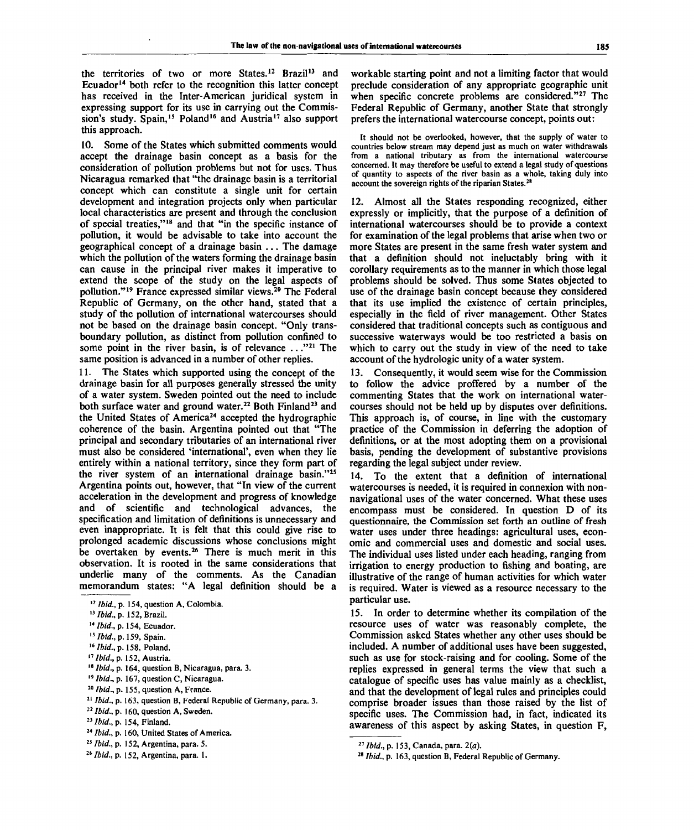the territories of two or more States.<sup>12</sup> Brazil<sup>13</sup> and Ecuador<sup>14</sup> both refer to the recognition this latter concept has received in the Inter-American juridical system in expressing support for its use in carrying out the Commission's study. Spain,<sup>15</sup> Poland<sup>16</sup> and Austria<sup>17</sup> also support this approach.

10. Some of the States which submitted comments would accept the drainage basin concept as a basis for the consideration of pollution problems but not for uses. Thus Nicaragua remarked that "the drainage basin is a territorial concept which can constitute a single unit for certain development and integration projects only when particular local characteristics are present and through the conclusion of special treaties,"<sup>18</sup> and that "in the specific instance of pollution, it would be advisable to take into account the geographical concept of a drainage basin .. . The damage which the pollution of the waters forming the drainage basin can cause in the principal river makes it imperative to extend the scope of the study on the legal aspects of pollution."<sup>19</sup> France expressed similar views.<sup>20</sup> The Federal Republic of Germany, on the other hand, stated that a study of the pollution of international watercourses should not be based on the drainage basin concept. "Only transboundary pollution, as distinct from pollution confined to source boint in the river basin, is of relevance ..."<sup>21</sup> The same position is advanced in a number of other replies.

11. The States which supported using the concept of the drainage basin for all purposes generally stressed the unity of a water system. Sweden pointed out the need to include both surface water and ground water.<sup>22</sup> Both Finland<sup>23</sup> and the United States of America<sup>24</sup> accepted the hydrographic coherence of the basin. Argentina pointed out that "The principal and secondary tributaries of an international river must also be considered 'international', even when they lie entirely within a national territory, since they form part of the river system of an international drainage basin."<sup>25</sup> Argentina points out, however, that "In view of the current acceleration in the development and progress of knowledge and of scientific and technological advances, the specification and limitation of definitions is unnecessary and even inappropriate. It is felt that this could give rise to prolonged academic discussions whose conclusions might be overtaken by events.<sup>26</sup> There is much merit in this observation. It is rooted in the same considerations that underlie many of the comments. As the Canadian memorandum states: "A legal definition should be a

18  *Ibid.,* p. 164, question B, Nicaragua, para. 3.

- 20  *Ibid., p .* 155, question A, France.
- 21  *Ibid.,* p. 163, question B, Federal Republic of Germany, para. 3.
- <sup>22</sup> *Ibid.*, p. 160, question A, Sweden.
- *<sup>23</sup> Ibid., p .* 154, Finland.
- 24  *Ibid., p.* 160, United States of America.
- 25  *Ibid., p.* 152, Argentina, para. 5.
- 26  *Ibid.,* p. 152, Argentina, para. 1.

workable starting point and not a limiting factor that would preclude consideration of any appropriate geographic unit when specific concrete problems are considered."<sup>27</sup> The Federal Republic of Germany, another State that strongly prefers the international watercourse concept, points out:

It should not be overlooked, however, that the supply of water to countries below stream may depend just as much on water withdrawals from a national tributary as from the international watercourse concerned. It may therefore be useful to extend a legal study of questions of quantity to aspects of the river basin as a whole, taking duly into account the sovereign rights of the riparian States.<sup>28</sup>

12. Almost all the States responding recognized, either expressly or implicitly, that the purpose of a definition of international watercourses should be to provide a context for examination of the legal problems that arise when two or more States are present in the same fresh water system and that a definition should not ineluctably bring with it corollary requirements as to the manner in which those legal problems should be solved. Thus some States objected to use of the drainage basin concept because they considered that its use implied the existence of certain principles, especially in the field of river management. Other States considered that traditional concepts such as contiguous and successive waterways would be too restricted a basis on which to carry out the study in view of the need to take account of the hydrologic unity of a water system.

13. Consequently, it would seem wise for the Commission to follow the advice proffered by a number of the commenting States that the work on international watercourses should not be held up by disputes over definitions. This approach is, of course, in line with the customary practice of the Commission in deferring the adoption of definitions, or at the most adopting them on a provisional basis, pending the development of substantive provisions regarding the legal subject under review.

14. To the extent that a definition of international watercourses is needed, it is required in connexion with nonnavigational uses of the water concerned. What these uses encompass must be considered. In question D of its questionnaire, the Commission set forth an outline of fresh water uses under three headings: agricultural uses, economic and commercial uses and domestic and social uses. The individual uses listed under each heading, ranging from irrigation to energy production to fishing and boating, are illustrative of the range of human activities for which water is required. Water is viewed as a resource necessary to the particular use.

15. In order to determine whether its compilation of the resource uses of water was reasonably complete, the Commission asked States whether any other uses should be included. A number of additional uses have been suggested, such as use for stock-raising and for cooling. Some of the replies expressed in general terms the view that such a catalogue of specific uses has value mainly as a checklist, and that the development of legal rules and principles could comprise broader issues than those raised by the list of specific uses. The Commission had, in fact, indicated its awareness of this aspect by asking States, in question F,

<sup>&</sup>lt;sup>12</sup> Ibid., p. 154, question A, Colombia.

<sup>13</sup>  *Ibid.,* p. 152, Brazil.

*<sup>14</sup> Ibid.,* p. 154, Ecuador.

*iSIbid.,p.* 159, Spain.

*<sup>16</sup> Ibid., p .* 158, Poland.

*<sup>11</sup> Ibid., p .* 152, Austria.

<sup>&</sup>lt;sup>19</sup> *Ibid.*, p. 167, question C, Nicaragua.

<sup>27</sup>  *Ibid.,* p. 153, Canada , para. *2(a).*

<sup>28</sup>  *Ibid.,* p. 163, question B, Federal Republic of Germany.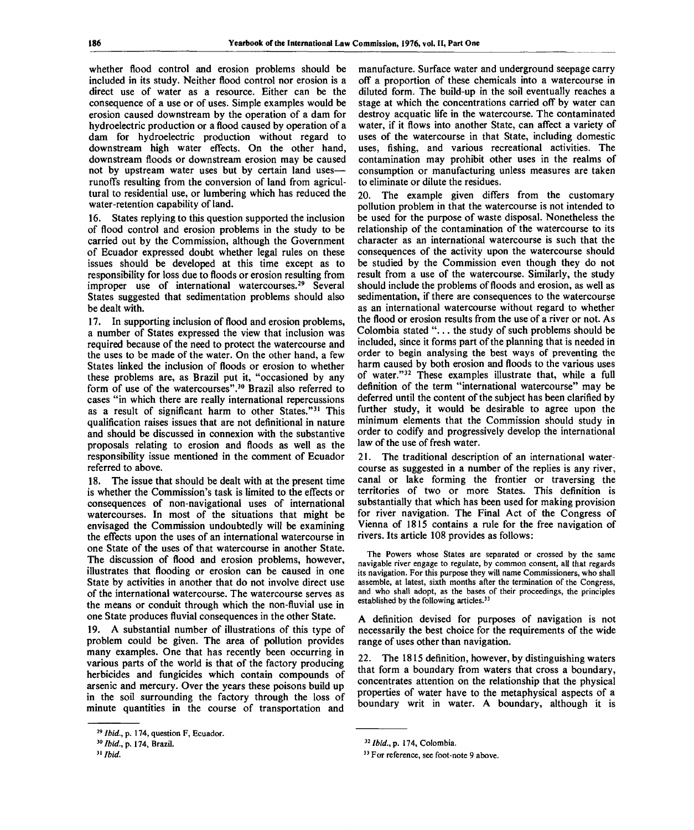whether flood control and erosion problems should be included in its study. Neither flood control nor erosion is a direct use of water as a resource. Either can be the consequence of a use or of uses. Simple examples would be erosion caused downstream by the operation of a dam for hydroelectric production or a flood caused by operation of a dam for hydroelectric production without regard to downstream high water effects. On the other hand, downstream floods or downstream erosion may be caused not by upstream water uses but by certain land uses runoffs resulting from the conversion of land from agricultural to residential use, or lumbering which has reduced the water-retention capability of land.

16. States replying to this question supported the inclusion of flood control and erosion problems in the study to be carried out by the Commission, although the Government of Ecuador expressed doubt whether legal rules on these issues should be developed at this time except as to responsibility for loss due to floods or erosion resulting from improper use of international watercourses.<sup>29</sup> Several States suggested that sedimentation problems should also be dealt with.

17. In supporting inclusion of flood and erosion problems, a number of States expressed the view that inclusion was required because of the need to protect the watercourse and the uses to be made of the water. On the other hand, a few States linked the inclusion of floods or erosion to whether these problems are, as Brazil put it, "occasioned by any form of use of the watercourses".<sup>30</sup> Brazil also referred to cases "in which there are really international repercussions as a result of significant harm to other States."<sup>31</sup> This qualification raises issues that are not definitional in nature and should be discussed in connexion with the substantive proposals relating to erosion and floods as well as the responsibility issue mentioned in the comment of Ecuador referred to above.

18. The issue that should be dealt with at the present time is whether the Commission's task is limited to the effects or consequences of non-navigational uses of international watercourses. In most of the situations that might be envisaged the Commission undoubtedly will be examining the effects upon the uses of an international watercourse in one State of the uses of that watercourse in another State. The discussion of flood and erosion problems, however, illustrates that flooding or erosion can be caused in one State by activities in another that do not involve direct use of the international watercourse. The watercourse serves as the means or conduit through which the non-fluvial use in one State produces fluvial consequences in the other State.

19. A substantial number of illustrations of this type of problem could be given. The area of pollution provides many examples. One that has recently been occurring in various parts of the world is that of the factory producing herbicides and fungicides which contain compounds of arsenic and mercury. Over the years these poisons build up in the soil surrounding the factory through the loss of minute quantities in the course of transportation and

manufacture. Surface water and underground seepage carry off a proportion of these chemicals into a watercourse in diluted form. The build-up in the soil eventually reaches a stage at which the concentrations carried off by water can destroy acquatic life in the watercourse. The contaminated water, if it flows into another State, can affect a variety of uses of the watercourse in that State, including domestic uses, fishing, and various recreational activities. The contamination may prohibit other uses in the realms of consumption or manufacturing unless measures are taken to eliminate or dilute the residues.

20. The example given differs from the customary pollution problem in that the watercourse is not intended to be used for the purpose of waste disposal. Nonetheless the relationship of the contamination of the watercourse to its character as an international watercourse is such that the consequences of the activity upon the watercourse should be studied by the Commission even though they do not result from a use of the watercourse. Similarly, the study should include the problems of floods and erosion, as well as sedimentation, if there are consequences to the watercourse as an international watercourse without regard to whether the flood or erosion results from the use of a river or not. As Colombia stated ".. . the study of such problems should be included, since it forms part of the planning that is needed in order to begin analysing the best ways of preventing the harm caused by both erosion and floods to the various uses of water."<sup>32</sup> These examples illustrate that, while a full definition of the term "international watercourse" may be deferred until the content of the subject has been clarified by further study, it would be desirable to agree upon the minimum elements that the Commission should study in order to codify and progressively develop the international law of the use of fresh water.

21. The traditional description of an international watercourse as suggested in a number of the replies is any river, canal or lake forming the frontier or traversing the territories of two or more States. This definition is substantially that which has been used for making provision for river navigation. The Final Act of the Congress of Vienna of 1815 contains a rule for the free navigation of rivers. Its article 108 provides as follows:

The Powers whose States are separated or crossed by the same navigable river engage to regulate, by common consent, all that regards its navigation. For this purpose they will name Commissioners, who shall assemble, at latest, sixth months after the termination of the Congress, and who shall adopt, as the bases of their proceedings, the principles established by the following articles.<sup>33</sup>

A definition devised for purposes of navigation is not necessarily the best choice for the requirements of the wide range of uses other than navigation.

22. The 1815 definition, however, by distinguishing waters that form a boundary from waters that cross a boundary, concentrates attention on the relationship that the physical properties of water have to the metaphysical aspects of a boundary writ in water. A boundary, although it is

<sup>&</sup>lt;sup>29</sup> Ibid., p. 174, question F, Ecuador.

*<sup>30</sup> Ibid., p .* 174, Brazil.

**<sup>31</sup>**  *Ibid.*

*<sup>32</sup> Ibid., p .* 174, Colombia .

<sup>&</sup>lt;sup>33</sup> For reference, see foot-note 9 above.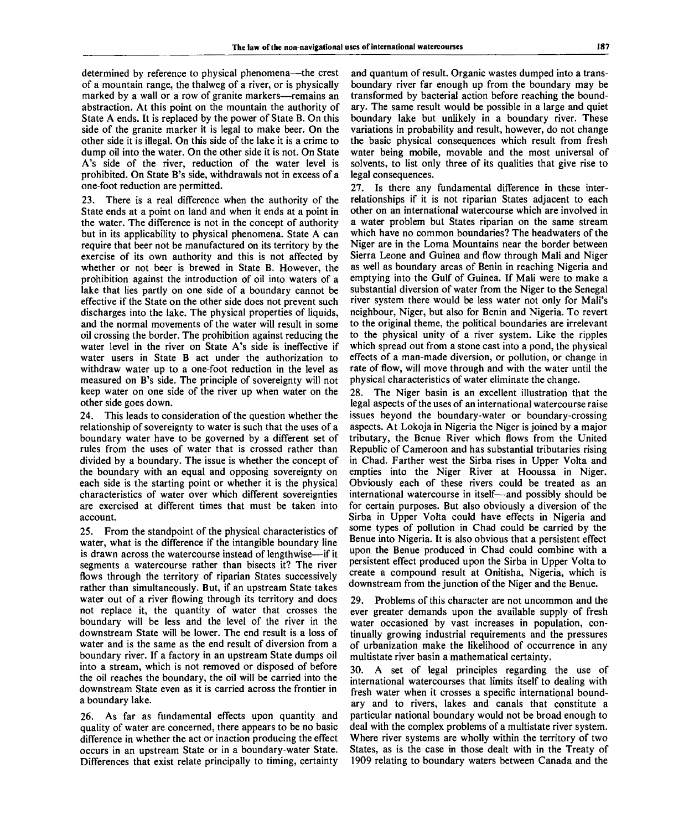determined by reference to physical phenomena—the crest of a mountain range, the thalweg of a river, or is physically marked by a wall or a row of granite markers—remains an abstraction. At this point on the mountain the authority of State A ends. It is replaced by the power of State B. On this side of the granite marker it is legal to make beer. On the other side it is illegal. On this side of the lake it is a crime to dump oil into the water. On the other side it is not. On State A's side of the river, reduction of the water level is prohibited. On State B's side, withdrawals not in excess of a one-foot reduction are permitted.

23. There is a real difference when the authority of the State ends at a point on land and when it ends at a point in the water. The difference is not in the concept of authority but in its applicability to physical phenomena. State A can require that beer not be manufactured on its territory by the exercise of its own authority and this is not affected by whether or not beer is brewed in State B. However, the prohibition against the introduction of oil into waters of a lake that lies partly on one side of a boundary cannot be effective if the State on the other side does not prevent such discharges into the lake. The physical properties of liquids, and the normal movements of the water will result in some oil crossing the border. The prohibition against reducing the water level in the river on State A's side is ineffective if water users in State B act under the authorization to withdraw water up to a one-foot reduction in the level as measured on B's side. The principle of sovereignty will not keep water on one side of the river up when water on the other side goes down.

24. This leads to consideration of the question whether the relationship of sovereignty to water is such that the uses of a boundary water have to be governed by a different set of rules from the uses of water that is crossed rather than divided by a boundary. The issue is whether the concept of the boundary with an equal and opposing sovereignty on each side is the starting point or whether it is the physical characteristics of water over which different sovereignties are exercised at different times that must be taken into account.

25. From the standpoint of the physical characteristics of water, what is the difference if the intangible boundary line is drawn across the watercourse instead of lengthwise—if it segments a watercourse rather than bisects it? The river flows through the territory of riparian States successively rather than simultaneously. But, if an upstream State takes water out of a river flowing through its territory and does not replace it, the quantity of water that crosses the boundary will be less and the level of the river in the downstream State will be lower. The end result is a loss of water and is the same as the end result of diversion from a boundary river. If a factory in an upstream State dumps oil into a stream, which is not removed or disposed of before the oil reaches the boundary, the oil will be carried into the downstream State even as it is carried across the frontier in a boundary lake.

26. As far as fundamental effects upon quantity and quality of water are concerned, there appears to be no basic difference in whether the act or inaction producing the effect occurs in an upstream State or in a boundary-water State. Differences that exist relate principally to timing, certainty

and quantum of result. Organic wastes dumped into a transboundary river far enough up from the boundary may be transformed by bacterial action before reaching the boundary. The same result would be possible in a large and quiet boundary lake but unlikely in a boundary river. These variations in probability and result, however, do not change the basic physical consequences which result from fresh water being mobile, movable and the most universal of solvents, to list only three of its qualities that give rise to legal consequences.

27. Is there any fundamental difference in these interrelationships if it is not riparian States adjacent to each other on an international watercourse which are involved in a water problem but States riparian on the same stream which have no common boundaries? The headwaters of the Niger are in the Loma Mountains near the border between Sierra Leone and Guinea and flow through Mali and Niger as well as boundary areas of Benin in reaching Nigeria and emptying into the Gulf of Guinea. If Mali were to make a substantial diversion of water from the Niger to the Senegal river system there would be less water not only for Mali's neighbour, Niger, but also for Benin and Nigeria. To revert to the original theme, the political boundaries are irrelevant to the physical unity of a river system. Like the ripples which spread out from a stone cast into a pond, the physical effects of a man-made diversion, or pollution, or change in rate of flow, will move through and with the water until the physical characteristics of water eliminate the change.

28. The Niger basin is an excellent illustration that the legal aspects of the uses of an international watercourse raise issues beyond the boundary-water or boundary-crossing aspects. At Lokoja in Nigeria the Niger is joined by a major tributary, the Benue River which flows from the United Republic of Cameroon and has substantial tributaries rising in Chad. Farther west the Sirba rises in Upper Volta and empties into the Niger River at Hooussa in Niger. Obviously each of these rivers could be treated as an international watercourse in itself—and possibly should be for certain purposes. But also obviously a diversion of the Sirba in Upper Volta could have effects in Nigeria and some types of pollution in Chad could be carried by the Benue into Nigeria. It is also obvious that a persistent effect upon the Benue produced in Chad could combine with a persistent effect produced upon the Sirba in Upper Volta to create a compound result at Onitisha, Nigeria, which is downstream from the junction of the Niger and the Benue.

29. Problems of this character are not uncommon and the ever greater demands upon the available supply of fresh water occasioned by vast increases in population, continually growing industrial requirements and the pressures of urbanization make the likelihood of occurrence in any multistate river basin a mathematical certainty.

30. A set of legal principles regarding the use of international watercourses that limits itself to dealing with fresh water when it crosses a specific international boundary and to rivers, lakes and canals that constitute a particular national boundary would not be broad enough to deal with the complex problems of a multistate river system. Where river systems are wholly within the territory of two States, as is the case in those dealt with in the Treaty of 1909 relating to boundary waters between Canada and the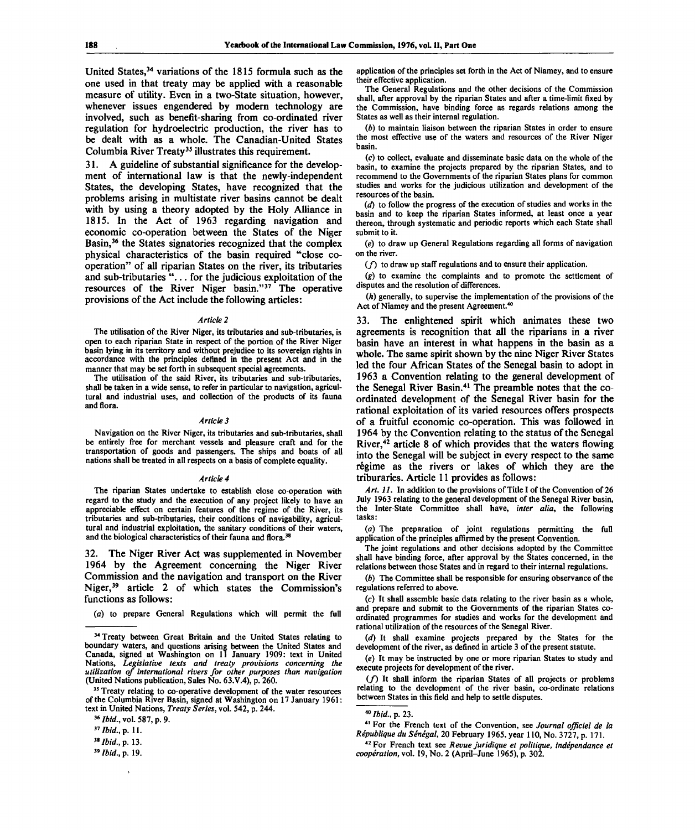United States,<sup>34</sup> variations of the 1815 formula such as the one used in that treaty may be applied with a reasonable measure of utility. Even in a two-State situation, however, whenever issues engendered by modern technology are involved, such as benefit-sharing from co-ordinated river regulation for hydroelectric production, the river has to be dealt with as a whole. The Canadian-United States Columbia River Treaty<sup>35</sup> illustrates this requirement.

31. A guideline of substantial significance for the development of international law is that the newly-independent States, the developing States, have recognized that the problems arising in multistate river basins cannot be dealt with by using a theory adopted by the Holy Alliance in 1815. In the Act of 1963 regarding navigation and economic co-operation between the States of the Niger Basin,<sup>36</sup> the States signatories recognized that the complex physical characteristics of the basin required "close cooperation" of all riparian States on the river, its tributaries and sub-tributaries ".. . for the judicious exploitation of the resources of the River Niger basin."<sup>37</sup> The operative provisions of the Act include the following articles:

#### *Article 2*

The utilisation of the River Niger, its tributaries and sub-tributaries, is open to each riparian State in respect of the portion of the River Niger basin lying in its territory and without prejudice to its sovereign rights in accordance with the principles defined in the present Act and in the manner that may be set forth in subsequent special agreements.

The utilisation of the said River, its tributaries and sub-tributaries, shall be taken in a wide sense, to refer in particular to navigation, agricultural and industrial uses, and collection of the products of its fauna and flora.

#### *Article 3*

Navigation on the River Niger, its tributaries and sub-tributaries, shall be entirely free for merchant vessels and pleasure craft and for the transportation of goods and passengers. The ships and boats of all nations shall be treated in all respects on a basis of complete equality.

#### *Article 4*

The riparian States undertake to establish close co-operation with regard to the study and the execution of any project likely to have an appreciable effect on certain features of the regime of the River, its tributaries and sub-tributaries, their conditions of navigability, agricultural and industrial exploitation, the sanitary conditions of their waters, and the biological characteristics of their fauna and flora.<sup>3</sup>

32. The Niger River Act was supplemented in November 1964 by the Agreement concerning the Niger River Commission and the navigation and transport on the River Niger,<sup>39</sup> article 2 of which states the Commission's functions as follows:

(a) to prepare General Regulations which will permit the full

application of the principles set forth in the Act of Niamey, and to ensure their effective application.

The General Regulations and the other decisions of the Commission shall, after approval by the riparian States and after a time-limit fixed by the Commission, have binding force as regards relations among the States as well as their internal regulation.

*(b)* to maintain liaison between the riparian States in order to ensure the most effective use of the waters and resources of the River Niger basin.

(c) to collect, evaluate and disseminate basic data on the whole of the basin, to examine the projects prepared by the riparian States, and to recommend to the Governments of the riparian States plans for common studies and works for the judicious utilization and development of the resources of the basin.

*(d)* to follow the progress of the execution of studies and works in the basin and to keep the riparian States informed, at least once a year thereon, through systematic and periodic reports which each State shall submit to it.

(e) to draw up General Regulations regarding all forms of navigation on the river.

 $(f)$  to draw up staff regulations and to ensure their application.

*(g)* to examine the complaints and to promote the settlement of disputes and the resolution of differences.

(A) generally, to supervise the implementation of the provisions of the Act of Niamey and the present Agreement.<sup>40</sup>

33. The enlightened spirit which animates these two agreements is recognition that all the riparians in a river basin have an interest in what happens in the basin as a whole. The same spirit shown by the nine Niger River States led the four African States of the Senegal basin to adopt in 1963 a Convention relating to the general development of the Senegal River Basin.<sup>41</sup> The preamble notes that the coordinated development of the Senegal River basin for the rational exploitation of its varied resources offers prospects of a fruitful economic co-operation. This was followed in 1964 by the Convention relating to the status of the Senegal River,<sup>42</sup> article 8 of which provides that the waters flowing into the Senegal will be subject in every respect to the same regime as the rivers or lakes of which they are the triburaries. Article 11 provides as follows:

*Art. 11.* In addition to the provisions of Title I of the Convention of 26 July 1963 relating to the general development of the Senegal River basin, the Inter-State Committee shall have, *inter alia,* the following tasks:

(a) The preparation of joint regulations permitting the full application of the principles affirmed by the present Convention.

The joint regulations and other decisions adopted by the Committee shall have binding force, after approval by the States concerned, in the relations between those States and in regard to their internal regulations.

*(b)* The Committee shall be responsible for ensuring observance of the regulations referred to above.

(c) It shall assemble basic data relating to the river basin as a whole, and prepare and submit to the Governments of the riparian States coordinated programmes for studies and works for the development and rational utilization of the resources of the Senegal River.

*(d)* It shall examine projects prepared by the States for the development of the river, as defined in article 3 of the present statute.

*(e)* It may be instructed by one or more riparian States to study and execute projects for development of the river.

*if)* It shall inform the riparian States of all projects or problems relating to the development of the river basin, co-ordinate relations between States in this field and help to settle disputes.

41 For the French text of the Convention, see *Journal ojficiel de la Republique du Senegal,* 20 February 1965. year 110, No . 3727, p. 171.

<sup>&</sup>lt;sup>34</sup> Treaty between Great Britain and the United States relating to boundary waters, and questions arising between the United States and Canada, signed at Washington on 11 January 1909: text in United Nations, *Legislative texts and treaty provisions concerning the utilization of international rivers for other purposes than navigation* (United Nations publication, Sales No. 63.V.4), p. 260.

<sup>&</sup>lt;sup>35</sup> Treaty relating to co-operative development of the water resources of the Columbia River Basin, signed at Washington on 17 January 1961: text in United Nations, *Treaty Series,* vol. 542, p. 244.

<sup>36</sup>  *Ibid.,* vol. 587, p. 9.

*<sup>31</sup>Ibid.,p.* 11.

*<sup>3</sup>tIbid.,p.* 13.

<sup>39</sup>  *Ibid.,* p. 19.

<sup>40</sup>  *Ibid.,* p. 23.

<sup>&</sup>lt;sup>42</sup> For French text see Revue juridique et politique, indépendance et *cooperation,* vol. 19, No. 2 (April-June 1965), p. 302.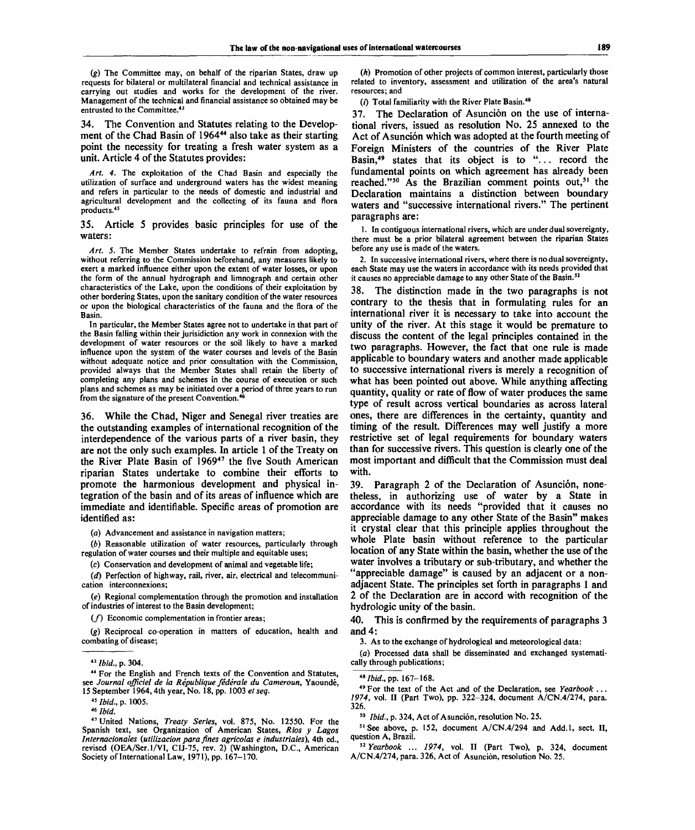*(g)* The Committee may, on behalf of the riparian States, draw up requests for bilateral or multilateral financial and technical assistance in carrying out studies and works for the development of the river. Management of the technical and financial assistance so obtained may be entrusted to the Committee.<sup>43</sup>

The Convention and Statutes relating to the Development of the Chad Basin of 1964<sup>44</sup> also take as their starting point the necessity for treating a fresh water system as a unit. Article 4 of the Statutes provides:

*Art. 4.* The exploitation of the Chad Basin and especially the utilization of surface and underground waters has the widest meaning and refers in particular to the needs of domestic and industrial and agricultural development and the collecting of its fauna and flora products.<sup>45</sup>

35. Article 5 provides basic principles for use of the waters:

*Art. 5.* The Member States undertake to refrain from adopting, without referring to the Commission beforehand, any measures likely to exert a marked influence either upon the extent of water losses, or upon the form of the annual hydrograph and limnograph and certain other characteristics of the Lake, upon the conditions of their exploitation by other bordering States, upon the sanitary condition of the water resources or upon the biological characteristics of the fauna and the flora of the Basin.

In particular, the Member States agree not to undertake in that part of the Basin falling within their jurisidiction any work in connexion with the development of water resources or the soil likely to have a marked influence upon the system of the water courses and levels of the Basin without adequate notice and prior consultation with the Commission, provided always that the Member States shall retain the liberty of completing any plans and schemes in the course of execution or such plans and schemes as may be initiated over a period of three years to run from the signature of the present Convention.<sup>4</sup>

36. While the Chad, Niger and Senegal river treaties are the outstanding examples of international recognition of the interdependence of the various parts of a river basin, they are not the only such examples. In article 1 of the Treaty on the River Plate Basin of 1969<sup>47</sup> the five South American riparian States undertake to combine their efforts to promote the harmonious development and physical integration of the basin and of its areas of influence which are immediate and identifiable. Specific areas of promotion are identified as:

*(a)* Advancement and assistance in navigation matters;

*(b)* Reasonable utilization of water resources, particularly through regulation of water courses and their multiple and equitable uses;

(c) Conservation and development of animal and vegetable life;

*(d)* Perfection of highway, rail, river, air, electrical and telecommunication interconnexions;

*(e)* Regional complementation through the promotion and installation of industries of interest to the Basin development;

*if)* Economic complementation in frontier areas;

*(g)* Reciprocal co-operation in matters of education, health and combating of disease;

<sup>47</sup> United Nations, Treaty Series, vol. 875, No. 12550. For the Spanish text, see Organization of American States, *Rios y Lagos Internacionales (utilization para fines agricolas e industriales),* 4th ed., revised (OEA/Ser.l/VI, CIJ-75, rev. 2) (Washington, D.C., American Society of International Law, 1971), pp. 167-170.

*(h)* Promotion of other projects of common interest, particularly those related to inventory, assessment and utilization of the area's natural resources; and

( $i$ ) Total familiarity with the River Plate Basin.<sup>48</sup>

37. The Declaration of Asunción on the use of international rivers, issued as resolution No. 25 annexed to the Act of Asunción which was adopted at the fourth meeting of Foreign Ministers of the countries of the River Plate Basin,<sup>49</sup> states that its object is to "... record the fundamental points on which agreement has already been reached."<sup>50</sup> As the Brazilian comment points out,<sup>51</sup> the Declaration maintains a distinction between boundary waters and "successive international rivers." The pertinent paragraphs are:

1. In contiguous international rivers, which are under dual sovereignty, there must be a prior bilateral agreement between the riparian States before any use is made of the waters.

2. In successive international rivers, where there is no dual sovereignty, each State may use the waters in accordance with its needs provided that it causes no appreciable damage to any other State of the Basin.<sup>52</sup>

38. The distinction made in the two paragraphs is not contrary to the thesis that in formulating rules for an international river it is necessary to take into account the unity of the river. At this stage it would be premature to discuss the content of the legal principles contained in the two paragraphs. However, the fact that one rule is made applicable to boundary waters and another made applicable to successive international rivers is merely a recognition of what has been pointed out above. While anything affecting quantity, quality or rate of flow of water produces the same type of result across vertical boundaries as across lateral ones, there are differences in the certainty, quantity and timing of the result. Differences may well justify a more restrictive set of legal requirements for boundary waters than for successive rivers. This question is clearly one of the most important and difficult that the Commission must deal with.

39. Paragraph 2 of the Declaration of Asunción, nonetheless, in authorizing use of water by a State in accordance with its needs "provided that it causes no appreciable damage to any other State of the Basin" makes it crystal clear that this principle applies throughout the whole Plate basin without reference to the particular location of any State within the basin, whether the use of the water involves a tributary or sub-tributary, and whether the "appreciable damage" is caused by an adjacent or a nonadjacent State. The principles set forth in paragraphs 1 and 2 of the Declaration are in accord with recognition of the hydrologic unity of the basin.

40. This is confirmed by the requirements of paragraphs 3 and 4:

3. As to the exchange of hydrological and meteorological data:

*(a)* Processed data shall be disseminated and exchanged systematically through publications;

49 For the text of the Act and of the Declaration, see *Yearbook ... 1974,* vol. II (Part Two), pp. 322-324, document A/CN.4/274, para. 326.

<sup>50</sup> *Ibid.*, p. 324, Act of Asunción, resolution No. 25.

 $51$  See above, p. 152, document A/CN.4/294 and Add.1, sect. II, question A, Brazil.

52  *Yearbook* ... *1974,* vol. II (Part Two), p. 324, document A/CN.4/274, para. 326, Act of Asunción, resolution No. 25.

<sup>43</sup>  *Ibid.,* p. 304.

<sup>44</sup> For the English and French texts of the Convention and Statutes, see *Journal officiel de la Republique federate du Cameroun,* Yaounde, 15 September 1964,4th year, No. 18, pp. 1003 *et seq.*

<sup>45</sup>  *Ibid.,* p. 1005.

<sup>46</sup>  *Ibid.*

*<sup>48</sup>Ibid.,pp.* 167-168.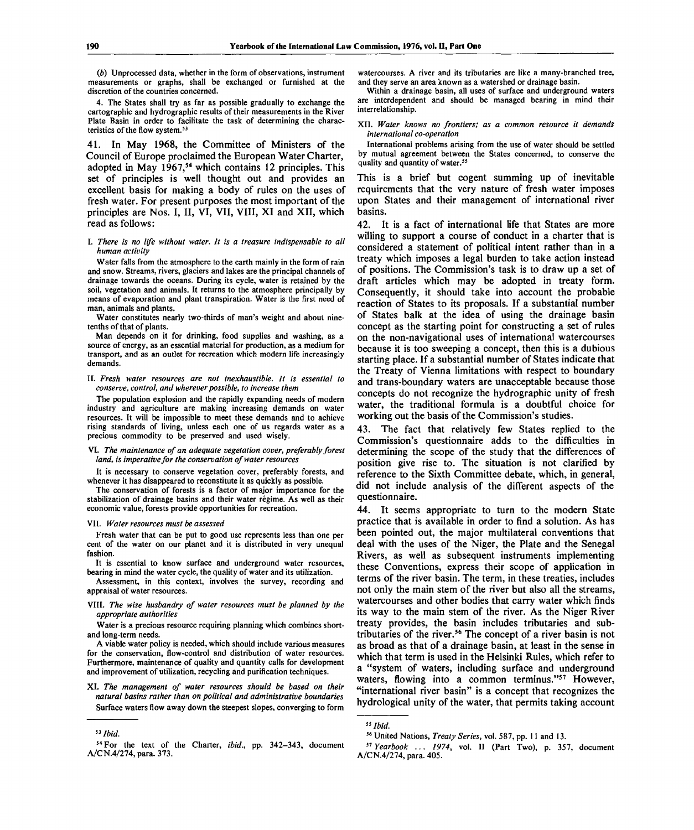*(b)* Unprocessed data, whether in the form of observations, instrument measurements or graphs, shall be exchanged or furnished at the discretion of the countries concerned.

4. The States shall try as far as possible gradually to exchange the cartographic and hydrographic results of their measurements in the River Plate Basin in order to facilitate the task of determining the characteristics of the flow system.<sup>53</sup>

41. In May 1968, the Committee of Ministers of the Council of Europe proclaimed the European Water Charter, adopted in May 1967,<sup>54</sup> which contains 12 principles. This set of principles is well thought out and provides an excellent basis for making a body of rules on the uses of fresh water. For present purposes the most important of the principles are Nos. I, II, VI, VII, VIII, XI and XII, which read as follows:

I. *There is no life without water. It is a treasure indispensable to all human activity*

Water falls from the atmosphere to the earth mainly in the form of rain and snow. Streams, rivers, glaciers and lakes are the principal channels of drainage towards the oceans. During its cycle, water is retained by the soil, vegetation and animals. It returns to the atmosphere principally by means of evaporation and plant transpiration. Water is the first need of man, animals and plants.

Water constitutes nearly two-thirds of man's weight and about ninetenths of that of plants.

Man depends on it for drinking, food supplies and washing, as a source of energy, as an essential material for production, as a medium for transport, and as an outlet for recreation which modern life increasingly demands.

### II. *Fresh water resources are not inexhaustible. It is essential to conserve, control, and wherever possible, to increase them*

The population explosion and the rapidly expanding needs of modern industry and agriculture are making increasing demands on water resources. It will be impossible to meet these demands and to achieve rising standards of living, unless each one of us regards water as a precious commodity to be preserved and used wisely.

#### VI. *The maintenance of an adequate vegetation cover, preferably forest land, is imperative for the conservation of water resources*

It is necessary to conserve vegetation cover, preferably forests, and whenever it has disappeared to reconstitute it as quickly as possible.

The conservation of forests is a factor of major importance for the stabilization of drainage basins and their water regime. As well as their economic value, forests provide opportunities for recreation.

#### VII. *Water resources must be assessed*

Fresh water that can be put to good use represents less than one per cent of the water on our planet and it is distributed in very unequal fashion.

It is essential to know surface and underground water resources, bearing in mind the water cycle, the quality of water and its utilization.

Assessment, in this context, involves the survey, recording and appraisal of water resources.

VIII. *The wise husbandry of water resources must be planned by the appropriate authorities*

Water is a precious resource requiring planning which combines shortand long-term needs.

A viable water policy is needed, which should include various measures for the conservation, flow-control and distribution of water resources. Furthermore, maintenance of quality and quantity calls for development and improvement of utilization, recycling and purification techniques.

XI. *The management of water resources should be based on their natural basins rather than on political and administrative boundaries* Surface waters flow away down the steepest slopes, converging to form watercourses. A river and its tributaries are like a many-branched tree, and they serve an area known as a watershed or drainage basin.

Within a drainage basin, all uses of surface and underground waters are interdependent and should be managed bearing in mind their interrelationship.

XII. *Water knows no frontiers; as a common resource it demands international co-operation*

International problems arising from the use of water should be settled by mutual agreement between the States concerned, to conserve the quality and quantity of water.<sup>55</sup>

This is a brief but cogent summing up of inevitable requirements that the very nature of fresh water imposes upon States and their management of international river basins.

42. It is a fact of international life that States are more willing to support a course of conduct in a charter that is considered a statement of political intent rather than in a treaty which imposes a legal burden to take action instead of positions. The Commission's task is to draw up a set of draft articles which may be adopted in treaty form. Consequently, it should take into account the probable reaction of States to its proposals. If a substantial number of States balk at the idea of using the drainage basin concept as the starting point for constructing a set of rules on the non-navigational uses of international watercourses because it is too sweeping a concept, then this is a dubious starting place. If a substantial number of States indicate that the Treaty of Vienna limitations with respect to boundary and trans-boundary waters are unacceptable because those concepts do not recognize the hydrographic unity of fresh water, the traditional formula is a doubtful choice for working out the basis of the Commission's studies.

43. The fact that relatively few States replied to the Commission's questionnaire adds to the difficulties in determining the scope of the study that the differences of position give rise to. The situation is not clarified by reference to the Sixth Committee debate, which, in general, did not include analysis of the different aspects of the questionnaire.

44. It seems appropriate to turn to the modern State practice that is available in order to find a solution. As has been pointed out, the major multilateral conventions that deal with the uses of the Niger, the Plate and the Senegal Rivers, as well as subsequent instruments implementing these Conventions, express their scope of application in terms of the river basin. The term, in these treaties, includes not only the main stem of the river but also all the streams, watercourses and other bodies that carry water which finds its way to the main stem of the river. As the Niger River treaty provides, the basin includes tributaries and subtributaries of the river.<sup>56</sup> The concept of a river basin is not as broad as that of a drainage basin, at least in the sense in which that term is used in the Helsinki Rules, which refer to a "system of waters, including surface and underground a system of waters, meading surface and anderground<br>waters, flowing into a common terminus."<sup>57</sup> However, "international river basin" is a concept that recognizes the hydrological unity of the water, that permits taking account

<sup>53</sup> *Ibid -*  $\overline{d}$ , and the state of  $\overline{d}$  set of  $\overline{d}$  set of  $\overline{d}$  set of  $\overline{d}$  set of  $\overline{d}$  set of  $\overline{d}$  set of  $\overline{d}$  set of  $\overline{d}$  set of  $\overline{d}$  set of  $\overline{d}$  set of  $\overline{d}$  set of  $\overline{d}$  set of  $\$ 

<sup>54</sup>For the text of the Charter, *ibid.,* pp. 342-343, document *"Yearbook ... 1974,* vol. II (Part Two), p. 357, document A/CN.4/274, para. 373.

<sup>55</sup>  *Ibid.*

United Nations, *Treaty Series,* vol. 587, pp. 11 and 13.